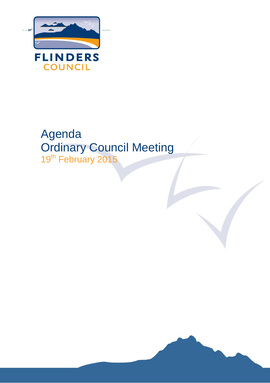

# Agenda Ordinary Council Meeting 19<sup>th</sup> February 2015

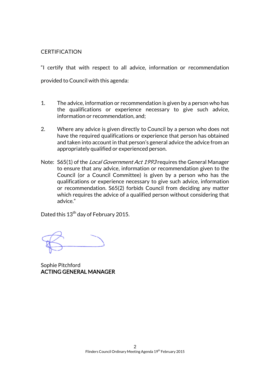#### **CERTIFICATION**

"I certify that with respect to all advice, information or recommendation provided to Council with this agenda:

- 1. The advice, information or recommendation is given by a person who has the qualifications or experience necessary to give such advice, information or recommendation, and;
- 2. Where any advice is given directly to Council by a person who does not have the required qualifications or experience that person has obtained and taken into account in that person's general advice the advice from an appropriately qualified or experienced person.
- Note: S65(1) of the *Local Government Act 1993* requires the General Manager to ensure that any advice, information or recommendation given to the Council (or a Council Committee) is given by a person who has the qualifications or experience necessary to give such advice, information or recommendation. S65(2) forbids Council from deciding any matter which requires the advice of a qualified person without considering that advice."

Dated this 13<sup>th</sup> day of February 2015.

Sophie Pitchford ACTING GENERAL MANAGER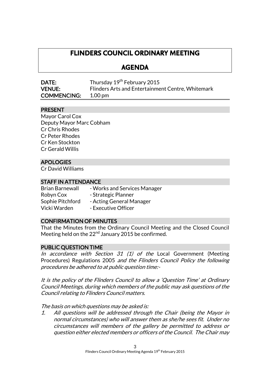## **FLINDERS COUNCIL ORDINARY MEETING**

## **AGENDA**

| <b>DATE:</b>       | Thursday 19 <sup>th</sup> February 2015           |
|--------------------|---------------------------------------------------|
| <b>VENUE:</b>      | Flinders Arts and Entertainment Centre, Whitemark |
| <b>COMMENCING:</b> | $1.00 \,\mathrm{pm}$                              |

## PRESENT

Mayor Carol Cox Deputy Mayor Marc Cobham Cr Chris Rhodes Cr Peter Rhodes Cr Ken Stockton Cr Gerald Willis

## APOLOGIES

Cr David Williams

## STAFF IN ATTENDANCE

Brian Barnewall - Works and Services Manager Robyn Cox - Strategic Planner Sophie Pitchford - Acting General Manager Vicki Warden - Executive Officer

## CONFIRMATION OF MINUTES

That the Minutes from the Ordinary Council Meeting and the Closed Council Meeting held on the  $22<sup>nd</sup>$  January 2015 be confirmed.

## PUBLIC QUESTION TIME

In accordance with Section 31  $(1)$  of the Local Government (Meeting Procedures) Regulations 2005 and the Flinders Council Policy the following procedures be adhered to at public question time:-

It is the policy of the Flinders Council to allow a 'Question Time' at Ordinary Council Meetings, during which members of the public may ask questions of the Council relating to Flinders Council matters.

The basis on which questions may be asked is:

1. All questions will be addressed through the Chair (being the Mayor in normal circumstances) who will answer them as she/he sees fit. Under no circumstances will members of the gallery be permitted to address or question either elected members or officers of the Council. The Chair may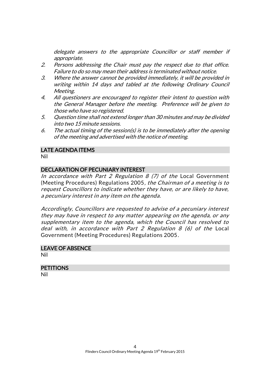delegate answers to the appropriate Councillor or staff member if appropriate.

- 2. Persons addressing the Chair must pay the respect due to that office. Failure to do so may mean their address is terminated without notice.
- 3. Where the answer cannot be provided immediately, it will be provided in writing within 14 days and tabled at the following Ordinary Council Meeting.
- 4. All questioners are encouraged to register their intent to question with the General Manager before the meeting. Preference will be given to those who have so registered.
- 5. Question time shall not extend longer than 30 minutes and may be divided into two 15 minute sessions.
- 6. The actual timing of the session(s) is to be immediately after the opening of the meeting and advertised with the notice of meeting.

#### LATE AGENDA ITEMS

Nil

#### DECLARATION OF PECUNIARY INTEREST

In accordance with Part 2 Regulation 8  $(7)$  of the Local Government (Meeting Procedures) Regulations 2005, the Chairman of a meeting is to request Councillors to indicate whether they have, or are likely to have, a pecuniary interest in any item on the agenda.

Accordingly, Councillors are requested to advise of a pecuniary interest they may have in respect to any matter appearing on the agenda, or any supplementary item to the agenda, which the Council has resolved to deal with, in accordance with Part 2 Regulation 8 (6) of the Local Government (Meeting Procedures) Regulations 2005.

## LEAVE OF ABSENCE

Nil

## **PETITIONS**

Nil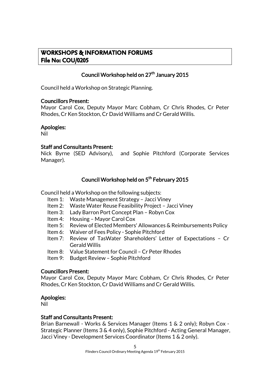## **WORKSHOPS & INFORMATION FORUMS File No: COU/0205**

## Council Workshop held on 27<sup>th</sup> January 2015

Council held a Workshop on Strategic Planning.

#### Councillors Present:

Mayor Carol Cox, Deputy Mayor Marc Cobham, Cr Chris Rhodes, Cr Peter Rhodes, Cr Ken Stockton, Cr David Williams and Cr Gerald Willis.

#### Apologies:

Nil

#### Staff and Consultants Present:

Nick Byrne (SED Advisory), and Sophie Pitchford (Corporate Services Manager).

## Council Workshop held on 5<sup>th</sup> February 2015

Council held a Workshop on the following subjects:

- Item 1: Waste Management Strategy Jacci Viney
- Item 2: Waste Water Reuse Feasibility Project Jacci Viney
- Item 3: Lady Barron Port Concept Plan Robyn Cox
- Item 4: Housing Mayor Carol Cox
- Item 5: Review of Elected Members' Allowances & Reimbursements Policy
- Item 6: Waiver of Fees Policy Sophie Pitchford
- Item 7: Review of TasWater Shareholders' Letter of Expectations Cr Gerald Willis
- Item 8: Value Statement for Council Cr Peter Rhodes
- Item 9: Budget Review Sophie Pitchford

## Councillors Present:

Mayor Carol Cox, Deputy Mayor Marc Cobham, Cr Chris Rhodes, Cr Peter Rhodes, Cr Ken Stockton, Cr David Williams and Cr Gerald Willis.

## Apologies:

Nil

## Staff and Consultants Present:

Brian Barnewall - Works & Services Manager (Items 1 & 2 only); Robyn Cox - Strategic Planner (Items 3 & 4 only), Sophie Pitchford - Acting General Manager, Jacci Viney - Development Services Coordinator (Items 1 & 2 only).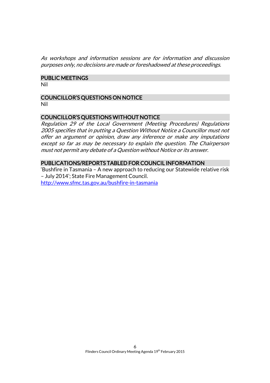As workshops and information sessions are for information and discussion purposes only, no decisions are made or foreshadowed at these proceedings.

## PUBLIC MEETINGS

Nil

## COUNCILLOR'S QUESTIONS ON NOTICE

Nil

## COUNCILLOR'S QUESTIONS WITHOUT NOTICE

Regulation 29 of the Local Government (Meeting Procedures) Regulations 2005 specifies that in putting a Question Without Notice a Councillor must not offer an argument or opinion, draw any inference or make any imputations except so far as may be necessary to explain the question. The Chairperson must not permit any debate of a Question without Notice or its answer.

## PUBLICATIONS/REPORTS TABLED FOR COUNCIL INFORMATION

'Bushfire in Tasmania – A new approach to reducing our Statewide relative risk – July 2014'; State Fire Management Council. <http://www.sfmc.tas.gov.au/bushfire-in-tasmania>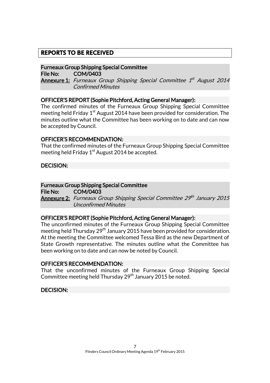## **REPORTS TO BE RECEIVED**

## Furneaux Group Shipping Special Committee

File No: COM/0403

**Annexure 1:** Furneaux Group Shipping Special Committee 1<sup>st</sup> August 2014 Confirmed Minutes

## OFFICER'S REPORT (Sophie Pitchford, Acting General Manager):

The confirmed minutes of the Furneaux Group Shipping Special Committee meeting held Friday 1<sup>st</sup> August 2014 have been provided for consideration. The minutes outline what the Committee has been working on to date and can now be accepted by Council.

#### OFFICER'S RECOMMENDATION:

That the confirmed minutes of the Furneaux Group Shipping Special Committee meeting held Friday  $1<sup>st</sup>$  August 2014 be accepted.

## DECISION:

#### Furneaux Group Shipping Special Committee

File No: COM/0403 **Annexure 2:** Furneaux Group Shipping Special Committee 29th January 2015 Unconfirmed Minutes

#### OFFICER'S REPORT (Sophie Pitchford, Acting General Manager):

The unconfirmed minutes of the Furneaux Group Shipping Special Committee meeting held Thursday  $29<sup>th</sup>$  January 2015 have been provided for consideration. At the meeting the Committee welcomed Tessa Bird as the new Department of State Growth representative. The minutes outline what the Committee has been working on to date and can now be noted by Council.

#### OFFICER'S RECOMMENDATION:

That the unconfirmed minutes of the Furneaux Group Shipping Special Committee meeting held Thursday 29<sup>th</sup> January 2015 be noted.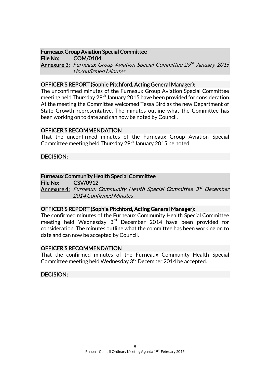## Furneaux Group Aviation Special Committee

File No: COM/0104 **Annexure 3:** Furneaux Group Aviation Special Committee 29th January 2015 Unconfirmed Minutes

## OFFICER'S REPORT (Sophie Pitchford, Acting General Manager):

The unconfirmed minutes of the Furneaux Group Aviation Special Committee meeting held Thursday 29<sup>th</sup> January 2015 have been provided for consideration. At the meeting the Committee welcomed Tessa Bird as the new Department of State Growth representative. The minutes outline what the Committee has been working on to date and can now be noted by Council.

## OFFICER'S RECOMMENDATION

That the unconfirmed minutes of the Furneaux Group Aviation Special Committee meeting held Thursday 29<sup>th</sup> January 2015 be noted.

## DECISION:

## Furneaux Community Health Special Committee

File No: CSV/0912

**Annexure 4:** Furneaux Community Health Special Committee 3<sup>rd</sup> December 2014 Confirmed Minutes

## OFFICER'S REPORT (Sophie Pitchford, Acting General Manager):

The confirmed minutes of the Furneaux Community Health Special Committee meeting held Wednesday 3<sup>rd</sup> December 2014 have been provided for consideration. The minutes outline what the committee has been working on to date and can now be accepted by Council.

## OFFICER'S RECOMMENDATION

That the confirmed minutes of the Furneaux Community Health Special Committee meeting held Wednesday 3<sup>rd</sup> December 2014 be accepted.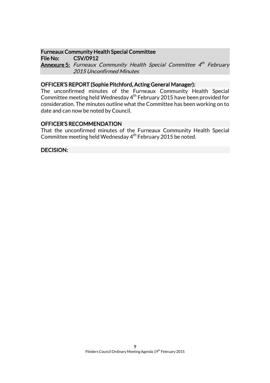#### Furneaux Community Health Special Committee

File No: CSV/0912

**Annexure 5:** Furneaux Community Health Special Committee 4<sup>th</sup> February 2015 Unconfirmed Minutes

#### OFFICER'S REPORT (Sophie Pitchford, Acting General Manager):

The unconfirmed minutes of the Furneaux Community Health Special Committee meeting held Wednesday 4th February 2015 have been provided for consideration. The minutes outline what the Committee has been working on to date and can now be noted by Council.

#### OFFICER'S RECOMMENDATION

That the unconfirmed minutes of the Furneaux Community Health Special Committee meeting held Wednesday  $4<sup>th</sup>$  February 2015 be noted.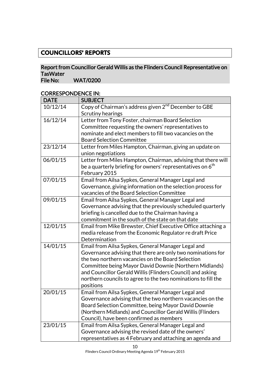## **COUNCILLORS' REPORTS**

## Report from Councillor Gerald Willis as the Flinders Council Representative on TasWater<br>File No:

WAT/0200

## CORRESPONDENCE IN:

| <b>DATE</b> | <b>SUBJECT</b>                                                                        |
|-------------|---------------------------------------------------------------------------------------|
| 10/12/14    | Copy of Chairman's address given 2 <sup>nd</sup> December to GBE<br>Scrutiny hearings |
| 16/12/14    | Letter from Tony Foster, chairman Board Selection                                     |
|             | Committee requesting the owners' representatives to                                   |
|             | nominate and elect members to fill two vacancies on the                               |
|             | <b>Board Selection Committee</b>                                                      |
| 23/12/14    | Letter from Miles Hampton, Chairman, giving an update on                              |
|             | union negotiations                                                                    |
| 06/01/15    | Letter from Miles Hampton, Chairman, advising that there will                         |
|             | be a quarterly briefing for owners' representatives on 6 <sup>th</sup>                |
|             | February 2015                                                                         |
| 07/01/15    | Email from Ailsa Sypkes, General Manager Legal and                                    |
|             | Governance, giving information on the selection process for                           |
|             | vacancies of the Board Selection Committee                                            |
| 09/01/15    | Email from Ailsa Sypkes, General Manager Legal and                                    |
|             | Governance advising that the previously scheduled quarterly                           |
|             | briefing is cancelled due to the Chairman having a                                    |
|             | commitment in the south of the state on that date                                     |
| 12/01/15    | Email from Mike Brewster, Chief Executive Office attaching a                          |
|             | media release from the Economic Regulator re draft Price                              |
|             | Determination                                                                         |
| 14/01/15    | Email from Ailsa Sypkes, General Manager Legal and                                    |
|             | Governance advising that there are only two nominations for                           |
|             | the two northern vacancies on the Board Selection                                     |
|             | Committee being Mayor David Downie (Northern Midlands)                                |
|             | and Councillor Gerald Willis (Flinders Council) and asking                            |
|             | northern councils to agree to the two nominations to fill the                         |
|             | positions                                                                             |
| 20/01/15    | Email from Ailsa Sypkes, General Manager Legal and                                    |
|             | Governance advising that the two northern vacancies on the                            |
|             | Board Selection Committee, being Mayor David Downie                                   |
|             | (Northern Midlands) and Councillor Gerald Willis (Flinders                            |
|             | Council), have been confirmed as members                                              |
| 23/01/15    | Email from Ailsa Sypkes, General Manager Legal and                                    |
|             | Governance advising the revised date of the owners'                                   |
|             | representatives as 4 February and attaching an agenda and                             |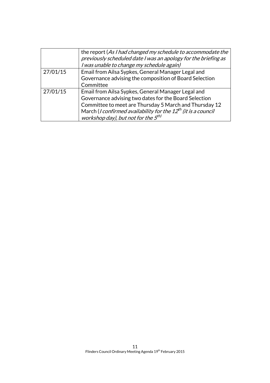|          | the report (As I had changed my schedule to accommodate the<br>previously scheduled date I was an apology for the briefing as<br>I was unable to change my schedule again)                                                                                                                                        |
|----------|-------------------------------------------------------------------------------------------------------------------------------------------------------------------------------------------------------------------------------------------------------------------------------------------------------------------|
| 27/01/15 | Email from Ailsa Sypkes, General Manager Legal and<br>Governance advising the composition of Board Selection<br>Committee                                                                                                                                                                                         |
| 27/01/15 | Email from Ailsa Sypkes, General Manager Legal and<br>Governance advising two dates for the Board Selection<br>Committee to meet are Thursday 5 March and Thursday 12<br>March ( <i>I confirmed availability for the <math>12^{th}</math> (it is a council</i><br>workshop day), but not for the 5 <sup>th)</sup> |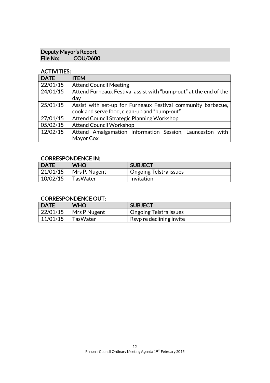### Deputy Mayor's Report File No: COU/0600

## ACTIVITIES:

| <b>DATE</b> | <b>ITEM</b>                                                       |  |
|-------------|-------------------------------------------------------------------|--|
| 22/01/15    | <b>Attend Council Meeting</b>                                     |  |
| 24/01/15    | Attend Furneaux Festival assist with "bump-out" at the end of the |  |
|             | day                                                               |  |
| 25/01/15    | Assist with set-up for Furneaux Festival community barbecue,      |  |
|             | cook and serve food, clean-up and "bump-out"                      |  |
| 27/01/15    | Attend Council Strategic Planning Workshop                        |  |
| 05/02/15    | <b>Attend Council Workshop</b>                                    |  |
| 12/02/15    | Attend Amalgamation Information Session, Launceston with          |  |
|             | Mayor Cox                                                         |  |

## CORRESPONDENCE IN:

| <b>DATE</b> | <b>WHO</b>      | <b>SUBJECT</b>         |
|-------------|-----------------|------------------------|
| 121/01/15   | Mrs P. Nugent   | Ongoing Telstra issues |
| 10/02/15    | <b>TasWater</b> | Invitation             |

## CORRESPONDENCE OUT:

| <b>DATE</b> | <b>WHO</b>   | <b>SUBJECT</b>           |
|-------------|--------------|--------------------------|
| 22/01/15    | Mrs P Nugent | Ongoing Telstra issues   |
| 11/01/15    | TasWater     | Rsvp re declining invite |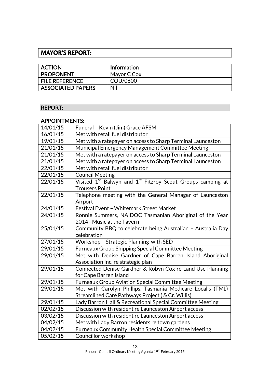## **MAYOR'S REPORT:**

| <b>ACTION</b>            | <b>Information</b> |
|--------------------------|--------------------|
| <b>PROPONENT</b>         | Mayor C Cox        |
| <b>FILE REFERENCE</b>    | COU/0600           |
| <b>ASSOCIATED PAPERS</b> | Nil                |

## REPORT:

## APPOINTMENTS:

| 14/01/15 | Funeral - Kevin (Jim) Grace AFSM                                                                            |  |
|----------|-------------------------------------------------------------------------------------------------------------|--|
| 16/01/15 | Met with retail fuel distributor                                                                            |  |
| 19/01/15 | Met with a ratepayer on access to Sharp Terminal Launceston                                                 |  |
| 21/01/15 | Municipal Emergency Management Committee Meeting                                                            |  |
| 21/01/15 | Met with a ratepayer on access to Sharp Terminal Launceston                                                 |  |
| 21/01/15 | Met with a ratepayer on access to Sharp Terminal Launceston                                                 |  |
| 22/01/15 | Met with retail fuel distributor                                                                            |  |
| 22/01/15 | <b>Council Meeting</b>                                                                                      |  |
| 22/01/15 | Visited 1 <sup>st</sup> Balwyn and 1 <sup>st</sup> Fitzroy Scout Groups camping at<br><b>Trousers Point</b> |  |
| 22/01/15 | Telephone meeting with the General Manager of Launceston<br>Airport                                         |  |
| 24/01/15 | Festival Event - Whitemark Street Market                                                                    |  |
| 24/01/15 | Ronnie Summers, NAIDOC Tasmanian Aboriginal of the Year                                                     |  |
|          | 2014 - Music at the Tavern                                                                                  |  |
| 25/01/15 | Community BBQ to celebrate being Australian - Australia Day                                                 |  |
|          | celebration                                                                                                 |  |
| 27/01/15 | Workshop - Strategic Planning with SED                                                                      |  |
| 29/01/15 | <b>Furneaux Group Shipping Special Committee Meeting</b>                                                    |  |
| 29/01/15 | Met with Denise Gardner of Cape Barren Island Aboriginal                                                    |  |
|          | Association Inc. re strategic plan                                                                          |  |
| 29/01/15 | Connected Denise Gardner & Robyn Cox re Land Use Planning                                                   |  |
|          | for Cape Barren Island                                                                                      |  |
| 29/01/15 | Furneaux Group Aviation Special Committee Meeting                                                           |  |
| 29/01/15 | Met with Carolyn Phillips, Tasmania Medicare Local's (TML)                                                  |  |
|          | Streamlined Care Pathways Project (& Cr. Willis)                                                            |  |
| 29/01/15 | Lady Barron Hall & Recreational Special Committee Meeting                                                   |  |
| 02/02/15 | Discussion with resident re Launceston Airport access                                                       |  |
| 03/02/15 | Discussion with resident re Launceston Airport access                                                       |  |
| 04/02/15 | Met with Lady Barron residents re town gardens                                                              |  |
| 04/02/15 | <b>Furneaux Community Health Special Committee Meeting</b>                                                  |  |
| 05/02/15 | Councillor workshop                                                                                         |  |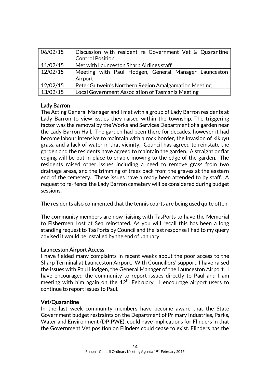| 06/02/15 | Discussion with resident re Government Vet & Quarantine |  |
|----------|---------------------------------------------------------|--|
|          | <b>Control Position</b>                                 |  |
| 11/02/15 | Met with Launceston Sharp Airlines staff                |  |
| 12/02/15 | Meeting with Paul Hodgen, General Manager Launceston    |  |
|          | Airport                                                 |  |
| 12/02/15 | Peter Gutwein's Northern Region Amalgamation Meeting    |  |
| 13/02/15 | Local Government Association of Tasmania Meeting        |  |

## Lady Barron

The Acting General Manager and I met with a group of Lady Barron residents at Lady Barron to view issues they raised within the township. The triggering factor was the removal by the Works and Services Department of a garden near the Lady Barron Hall. The garden had been there for decades, however it had become labour intensive to maintain with a rock border, the invasion of kikuyu grass, and a lack of water in that vicinity. Council has agreed to reinstate the garden and the residents have agreed to maintain the garden. A straight or flat edging will be put in place to enable mowing to the edge of the garden. The residents raised other issues including a need to remove grass from two drainage areas, and the trimming of trees back from the graves at the eastern end of the cemetery. These issues have already been attended to by staff. A request to re- fence the Lady Barron cemetery will be considered during budget sessions.

The residents also commented that the tennis courts are being used quite often.

The community members are now liaising with TasPorts to have the Memorial to Fishermen Lost at Sea reinstated. As you will recall this has been a long standing request to TasPorts by Council and the last response I had to my query advised it would be installed by the end of January.

#### Launceston Airport Access

I have fielded many complaints in recent weeks about the poor access to the Sharp Terminal at Launceston Airport. With Councillors' support, I have raised the issues with Paul Hodgen, the General Manager of the Launceston Airport. I have encouraged the community to report issues directly to Paul and I am meeting with him again on the 12<sup>th</sup> February. I encourage airport users to continue to report issues to Paul.

## Vet/Quarantine

In the last week community members have become aware that the State Government budget restraints on the Department of Primary Industries, Parks, Water and Environment (DPIPWE), could have implications for Flinders in that the Government Vet position on Flinders could cease to exist. Flinders has the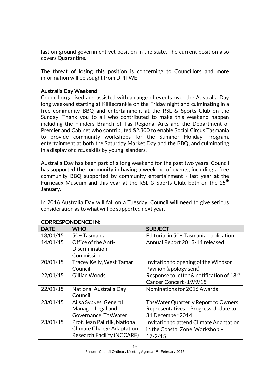last on-ground government vet position in the state. The current position also covers Quarantine.

The threat of losing this position is concerning to Councillors and more information will be sought from DPIPWE.

### Australia Day Weekend

Council organised and assisted with a range of events over the Australia Day long weekend starting at Killiecrankie on the Friday night and culminating in a free community BBQ and entertainment at the RSL & Sports Club on the Sunday. Thank you to all who contributed to make this weekend happen including the Flinders Branch of Tas Regional Arts and the Department of Premier and Cabinet who contributed \$2,300 to enable Social Circus Tasmania to provide community workshops for the Summer Holiday Program, entertainment at both the Saturday Market Day and the BBQ, and culminating in a display of circus skills by young islanders.

Australia Day has been part of a long weekend for the past two years. Council has supported the community in having a weekend of events, including a free community BBQ supported by community entertainment - last year at the Furneaux Museum and this year at the RSL & Sports Club, both on the  $25<sup>th</sup>$ January.

In 2016 Australia Day will fall on a Tuesday. Council will need to give serious consideration as to what will be supported next year.

| <b>DATE</b> | <b>WHO</b>                        | <b>SUBJECT</b>                                        |
|-------------|-----------------------------------|-------------------------------------------------------|
| 13/01/15    | 50+Tasmania                       | Editorial in 50+ Tasmania publication                 |
| 14/01/15    | Office of the Anti-               | Annual Report 2013-14 released                        |
|             | Discrimination                    |                                                       |
|             | Commissioner                      |                                                       |
| 20/01/15    | <b>Tracey Kelly, West Tamar</b>   | Invitation to opening of the Windsor                  |
|             | Council                           | Pavilion (apology sent)                               |
| 22/01/15    | Gillian Woods                     | Response to letter & notification of 18 <sup>th</sup> |
|             |                                   | Cancer Concert - 19/9/15                              |
| 22/01/15    | National Australia Day            | Nominations for 2016 Awards                           |
|             | Council                           |                                                       |
| 23/01/15    | Ailsa Sypkes, General             | <b>TasWater Quarterly Report to Owners</b>            |
|             | Manager Legal and                 | Representatives - Progress Update to                  |
|             | Governance, TasWater              | 31 December 2014                                      |
| 23/01/15    | Prof. Jean Palutik, National      | Invitation to attend Climate Adaptation               |
|             | <b>Climate Change Adaptation</b>  | in the Coastal Zone Workshop -                        |
|             | <b>Research Facility (NCCARF)</b> | 17/2/15                                               |

## CORRESPONDENCE IN: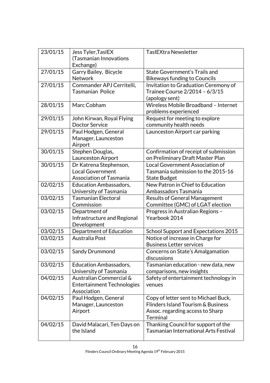| 23/01/15 | Jess Tyler, TasIEX<br>(Tasmanian Innovations<br>Exchange)                           | <b>TasIEXtra Newsletter</b>                                                                                                       |
|----------|-------------------------------------------------------------------------------------|-----------------------------------------------------------------------------------------------------------------------------------|
| 27/01/15 | Garry Bailey, Bicycle<br><b>Network</b>                                             | State Government's Trails and<br><b>Bikeways funding to Councils</b>                                                              |
| 27/01/15 | Commander APJ Cerritelli,<br>Tasmanian Police                                       | Invitation to Graduation Ceremony of<br>Trainee Course 2/2014 - 6/3/15<br>(apology sent)                                          |
| 28/01/15 | Marc Cobham                                                                         | Wireless Mobile Broadband - Internet<br>problems experienced                                                                      |
| 29/01/15 | John Kirwan, Royal Flying<br><b>Doctor Service</b>                                  | Request for meeting to explore<br>community health needs                                                                          |
| 29/01/15 | Paul Hodgen, General<br>Manager, Launceston<br>Airport                              | Launceston Airport car parking                                                                                                    |
| 30/01/15 | Stephen Douglas,<br>Launceston Airport                                              | Confirmation of receipt of submission<br>on Preliminary Draft Master Plan                                                         |
| 30/01/15 | Dr Katrena Stephenson,<br><b>Local Government</b><br><b>Association of Tasmania</b> | Local Government Association of<br>Tasmania submission to the 2015-16<br><b>State Budget</b>                                      |
| 02/02/15 | <b>Education Ambassadors,</b><br>University of Tasmania                             | New Patron in Chief to Education<br>Ambassadors Tasmania                                                                          |
| 03/02/15 | <b>Tasmanian Electoral</b><br>Commission                                            | <b>Results of General Management</b><br>Committee (GMC) of LGAT election                                                          |
| 03/02/15 | Department of<br>Infrastructure and Regional<br>Development                         | Progress in Australian Regions -<br>Yearbook 2014                                                                                 |
| 03/02/15 | Department of Education                                                             | School Support and Expectations 2015                                                                                              |
| 03/02/15 | Australia Post                                                                      | Notice of increase in Charge for<br><b>Business Letter services</b>                                                               |
| 03/02/15 | Sandy Drummond                                                                      | Concerns on State's Amalgamation<br>discussions                                                                                   |
| 03/02/15 | Education Ambassadors,<br>University of Tasmania                                    | Tasmanian education - new data, new<br>comparisons, new insights                                                                  |
| 04/02/15 | Australian Commercial &<br><b>Entertainment Technologies</b><br>Association         | Safety of entertainment technology in<br>venues                                                                                   |
| 04/02/15 | Paul Hodgen, General<br>Manager, Launceston<br>Airport                              | Copy of letter sent to Michael Buck,<br>Flinders Island Tourism & Business<br>Assoc. regarding access to Sharp<br><b>Terminal</b> |
| 04/02/15 | David Malacari, Ten Days on<br>the Island                                           | Thanking Council for support of the<br><b>Tasmanian International Arts Festival</b>                                               |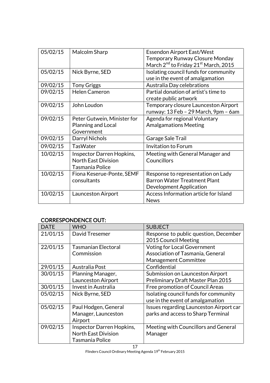| 05/02/15 | Malcolm Sharp               | <b>Essendon Airport East/West</b>                            |
|----------|-----------------------------|--------------------------------------------------------------|
|          |                             | Temporary Runway Closure Monday                              |
|          |                             | March 2 <sup>nd</sup> to Friday 21 <sup>st</sup> March, 2015 |
| 05/02/15 | Nick Byrne, SED             | Isolating council funds for community                        |
|          |                             | use in the event of amalgamation                             |
| 09/02/15 | <b>Tony Griggs</b>          | Australia Day celebrations                                   |
| 09/02/15 | <b>Helen Cameron</b>        | Partial donation of artist's time to                         |
|          |                             | create public artwork                                        |
| 09/02/15 | John Loudon                 | Temporary closure Launceston Airport                         |
|          |                             | runway: 13 Feb - 29 March, 9pm - 6am                         |
| 09/02/15 | Peter Gutwein, Minister for | Agenda for regional Voluntary                                |
|          | Planning and Local          | <b>Amalgamations Meeting</b>                                 |
|          | Government                  |                                                              |
| 09/02/15 | Darryl Nichols              | Garage Sale Trail                                            |
| 09/02/15 | <b>TasWater</b>             | <b>Invitation to Forum</b>                                   |
| 10/02/15 | Inspector Darren Hopkins,   | Meeting with General Manager and                             |
|          | <b>North East Division</b>  | Councillors                                                  |
|          | Tasmania Police             |                                                              |
| 10/02/15 | Fiona Keserue-Ponte, SEMF   | Response to representation on Lady                           |
|          | consultants                 | <b>Barron Water Treatment Plant</b>                          |
|          |                             | Development Application                                      |
| 10/02/15 | Launceston Airport          | Access Information article for Island                        |
|          |                             | <b>News</b>                                                  |

## CORRESPONDENCE OUT:

| <b>DATE</b> | <b>WHO</b>                 | <b>SUBJECT</b>                          |
|-------------|----------------------------|-----------------------------------------|
| 21/01/15    | David Tresemer             | Response to public question, December   |
|             |                            | 2015 Council Meeting                    |
| 22/01/15    | <b>Tasmanian Electoral</b> | <b>Voting for Local Government</b>      |
|             | Commission                 | Association of Tasmania, General        |
|             |                            | <b>Management Committee</b>             |
| 29/01/15    | Australia Post             | Confidential                            |
| 30/01/15    | Planning Manager,          | Submission on Launceston Airport        |
|             | Launceston Airport         | Preliminary Draft Master Plan 2015      |
| 30/01/15    | Invest in Australia        | Free promotion of Council Areas         |
| 05/02/15    | Nick Byrne, SED            | Isolating council funds for community   |
|             |                            | use in the event of amalgamation        |
| 05/02/15    | Paul Hodgen, General       | Issues regarding Launceston Airport car |
|             | Manager, Launceston        | parks and access to Sharp Terminal      |
|             | Airport                    |                                         |
| 09/02/15    | Inspector Darren Hopkins,  | Meeting with Councillors and General    |
|             | <b>North East Division</b> | Manager                                 |
|             | Tasmania Police            |                                         |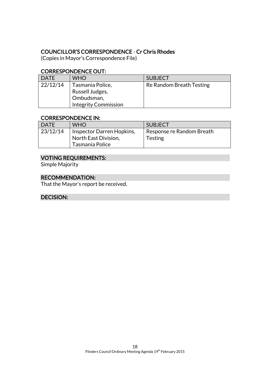## COUNCILLOR'S CORRESPONDENCE - Cr Chris Rhodes

(Copies in Mayor's Correspondence File)

## CORRESPONDENCE OUT:

| <b>DATE</b> | WHO                                                                              | <b>SUBJECT</b>           |
|-------------|----------------------------------------------------------------------------------|--------------------------|
| 22/12/14    | Tasmania Police,<br>Russell Judges,<br>Ombudsman,<br><b>Integrity Commission</b> | Re Random Breath Testing |

#### CORRESPONDENCE IN:

| l DATE   | <b>WHO</b>                                                           | <b>SUBJECT</b>                              |
|----------|----------------------------------------------------------------------|---------------------------------------------|
| 23/12/14 | Inspector Darren Hopkins,<br>North East Division,<br>Tasmania Police | Response re Random Breath<br><b>Testing</b> |

## VOTING REQUIREMENTS:

Simple Majority

## RECOMMENDATION:

That the Mayor's report be received.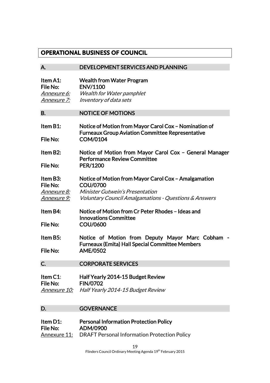## **OPERATIONAL BUSINESS OF COUNCIL**

| А.                                                               | DEVELOPMENT SERVICES AND PLANNING                                                                                                                                                     |
|------------------------------------------------------------------|---------------------------------------------------------------------------------------------------------------------------------------------------------------------------------------|
| Item A1:<br>File No:<br><u>Annexure 6:</u><br><u>Annexure 7:</u> | <b>Wealth from Water Program</b><br><b>ENV/1100</b><br><b>Wealth for Water pamphlet</b><br>Inventory of data sets                                                                     |
| <b>B.</b>                                                        | <b>NOTICE OF MOTIONS</b>                                                                                                                                                              |
| Item B1:<br>File No:                                             | Notice of Motion from Mayor Carol Cox - Nomination of<br><b>Furneaux Group Aviation Committee Representative</b><br><b>COM/0104</b>                                                   |
| Item B2:<br>File No:                                             | Notice of Motion from Mayor Carol Cox - General Manager<br><b>Performance Review Committee</b><br><b>PER/1200</b>                                                                     |
| Item B3:<br>File No:<br><u>Annexure 8:</u><br><u>Annexure 9:</u> | Notice of Motion from Mayor Carol Cox - Amalgamation<br><b>COU/0700</b><br><b>Minister Gutwein's Presentation</b><br><i>Voluntary Council Amalgamations - Questions &amp; Answers</i> |
| Item B4:<br><b>File No:</b>                                      | Notice of Motion from Cr Peter Rhodes - Ideas and<br><b>Innovations Committee</b><br><b>COU/0600</b>                                                                                  |
| Item B5:<br>File No:                                             | Notice of Motion from Deputy Mayor Marc Cobham<br><b>Furneaux (Emita) Hall Special Committee Members</b><br><b>AME/0502</b>                                                           |
| C.                                                               | <b>CORPORATE SERVICES</b>                                                                                                                                                             |
| Item C1:<br>File No:<br><u>Annexure 10:</u>                      | Half Yearly 2014-15 Budget Review<br><b>FIN/0702</b><br>Half Yearly 2014-15 Budget Review                                                                                             |
| D.                                                               | <b>GOVERNANCE</b>                                                                                                                                                                     |
| Item D1:<br><b>File No:</b><br>Annexure 11:                      | <b>Personal Information Protection Policy</b><br>ADM/0900<br><b>DRAFT Personal Information Protection Policy</b>                                                                      |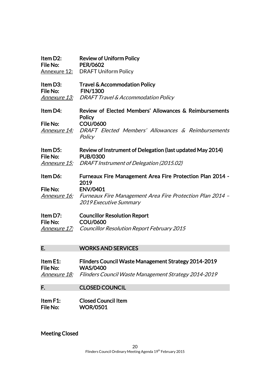| Item D2:<br>File No:<br>Annexure 12: | <b>Review of Uniform Policy</b><br><b>PER/0602</b><br><b>DRAFT Uniform Policy</b>                 |
|--------------------------------------|---------------------------------------------------------------------------------------------------|
| Item D3:<br>File No:                 | <b>Travel &amp; Accommodation Policy</b><br><b>FIN/1300</b>                                       |
|                                      | <b>Annexure 13: DRAFT Travel &amp; Accommodation Policy</b>                                       |
| Item D4:                             | Review of Elected Members' Allowances & Reimbursements<br><b>Policy</b>                           |
| File No:                             | COU/0600                                                                                          |
| <i>Annexure 14:</i>                  | DRAFT Elected Members' Allowances & Reimbursements<br>Policy                                      |
|                                      |                                                                                                   |
| Item D5:<br>File No:                 | Review of Instrument of Delegation (last updated May 2014)<br><b>PUB/0300</b>                     |
| <u>Annexure 15:</u>                  | DRAFT Instrument of Delegation (2015.02)                                                          |
| Item D6:                             | <b>Furneaux Fire Management Area Fire Protection Plan 2014 -</b><br>2019                          |
| File No:                             | <b>ENV/0401</b>                                                                                   |
| <i>Annexure 16:</i>                  | <b>Furneaux Fire Management Area Fire Protection Plan 2014 -</b><br><b>2019 Executive Summary</b> |
| Item D7:<br>File No:                 | <b>Councillor Resolution Report</b><br><b>COU/0600</b>                                            |

## E. WORKS AND SERVICES

| Item $E1$ :         | Flinders Council Waste Management Strategy 2014-2019 |
|---------------------|------------------------------------------------------|
| File No:            | <b>WAS/0400</b>                                      |
| <i>Annexure 18:</i> | Flinders Council Waste Management Strategy 2014-2019 |

## F. CLOSED COUNCIL

| Item F1: | <b>Closed Council Item</b> |
|----------|----------------------------|
| File No: | <b>WOR/0501</b>            |

Meeting Closed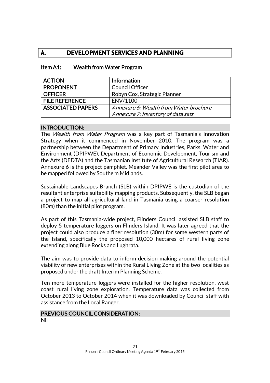## **A. DEVELOPMENT SERVICES AND PLANNING**

| <b>ACTION</b>            | <b>Information</b>                     |
|--------------------------|----------------------------------------|
| <b>PROPONENT</b>         | <b>Council Officer</b>                 |
| <b>OFFICER</b>           | Robyn Cox, Strategic Planner           |
| <b>FILE REFERENCE</b>    | ENV/1100                               |
| <b>ASSOCIATED PAPERS</b> | Annexure 6: Wealth from Water brochure |
|                          | Annexure 7: Inventory of data sets     |

#### Item A1: Wealth from Water Program

#### INTRODUCTION:

The *Wealth from Water Program* was a key part of Tasmania's Innovation Strategy when it commenced in November 2010. The program was a partnership between the Department of Primary Industries, Parks, Water and Environment (DPIPWE), Department of Economic Development, Tourism and the Arts (DEDTA) and the Tasmanian Institute of Agricultural Research (TIAR). Annexure 6 is the project pamphlet. Meander Valley was the first pilot area to be mapped followed by Southern Midlands.

Sustainable Landscapes Branch (SLB) within DPIPWE is the custodian of the resultant enterprise suitability mapping products. Subsequently, the SLB began a project to map all agricultural land in Tasmania using a coarser resolution (80m) than the initial pilot program.

As part of this Tasmania-wide project, Flinders Council assisted SLB staff to deploy 5 temperature loggers on Flinders Island. It was later agreed that the project could also produce a finer resolution (30m) for some western parts of the Island, specifically the proposed 10,000 hectares of rural living zone extending along Blue Rocks and Lughrata.

The aim was to provide data to inform decision making around the potential viability of new enterprises within the Rural Living Zone at the two localities as proposed under the draft Interim Planning Scheme.

Ten more temperature loggers were installed for the higher resolution, west coast rural living zone exploration. Temperature data was collected from October 2013 to October 2014 when it was downloaded by Council staff with assistance from the Local Ranger.

#### PREVIOUS COUNCIL CONSIDERATION: Nil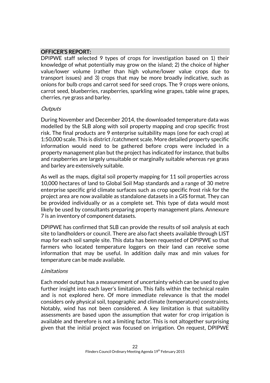## OFFICER'S REPORT:

DPIPWE staff selected 9 types of crops for investigation based on 1) their knowledge of what potentially may grow on the island; 2) the choice of higher value/lower volume (rather than high volume/lower value crops due to transport issues) and 3) crops that may be more broadly indicative, such as onions for bulb crops and carrot seed for seed crops. The 9 crops were onions, carrot seed, blueberries, raspberries, sparkling wine grapes, table wine grapes, cherries, rye grass and barley.

#### **Outputs**

During November and December 2014, the downloaded temperature data was modelled by the SLB along with soil property mapping and crop specific frost risk. The final products are 9 enterprise suitability maps (one for each crop) at 1:50,000 scale. This is district /catchment scale. More detailed property specific information would need to be gathered before crops were included in a property management plan but the project has indicated for instance, that bulbs and raspberries are largely unsuitable or marginally suitable whereas rye grass and barley are extensively suitable.

As well as the maps, digital soil property mapping for 11 soil properties across 10,000 hectares of land to Global Soil Map standards and a range of 30 metre enterprise specific grid climate surfaces such as crop specific frost risk for the project area are now available as standalone datasets in a GIS format. They can be provided individually or as a complete set. This type of data would most likely be used by consultants preparing property management plans. Annexure 7 is an inventory of component datasets.

DPIPWE has confirmed that SLB can provide the results of soil analysis at each site to landholders or council. There are also fact sheets available through LIST map for each soil sample site. This data has been requested of DPIPWE so that farmers who located temperature loggers on their land can receive some information that may be useful. In addition daily max and min values for temperature can be made available.

## Limitations

Each model output has a measurement of uncertainty which can be used to give further insight into each layer's limitation. This falls within the technical realm and is not explored here. Of more immediate relevance is that the model considers only physical soil, topographic and climate (temperature) constraints. Notably, wind has not been considered. A key limitation is that suitability assessments are based upon the assumption that water for crop irrigation is available and therefore is not a limiting factor. This is not altogether surprising given that the initial project was focused on irrigation. On request, DPIPWE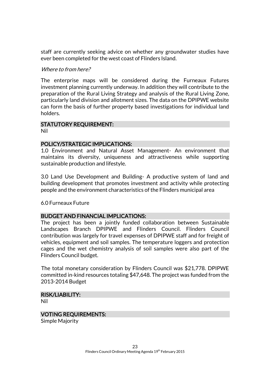staff are currently seeking advice on whether any groundwater studies have ever been completed for the west coast of Flinders Island.

#### Where to from here?

The enterprise maps will be considered during the Furneaux Futures investment planning currently underway. In addition they will contribute to the preparation of the Rural Living Strategy and analysis of the Rural Living Zone, particularly land division and allotment sizes. The data on the DPIPWE website can form the basis of further property based investigations for individual land holders.

#### STATUTORY REQUIREMENT:

Nil

#### POLICY/STRATEGIC IMPLICATIONS:

1.0 Environment and Natural Asset Management- An environment that maintains its diversity, uniqueness and attractiveness while supporting sustainable production and lifestyle.

3.0 Land Use Development and Building- A productive system of land and building development that promotes investment and activity while protecting people and the environment characteristics of the Flinders municipal area

6.0 Furneaux Future

#### BUDGET AND FINANCIAL IMPLICATIONS:

The project has been a jointly funded collaboration between Sustainable Landscapes Branch DPIPWE and Flinders Council. Flinders Council contribution was largely for travel expenses of DPIPWE staff and for freight of vehicles, equipment and soil samples. The temperature loggers and protection cages and the wet chemistry analysis of soil samples were also part of the Flinders Council budget.

The total monetary consideration by Flinders Council was \$21,778. DPIPWE committed in-kind resources totaling \$47,648. The project was funded from the 2013-2014 Budget

#### RISK/LIABILITY:

Nil

## VOTING REQUIREMENTS:

Simple Majority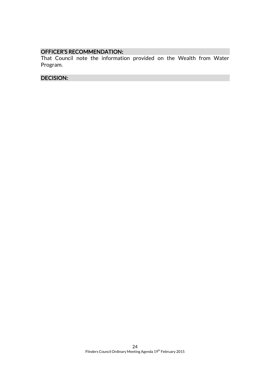## OFFICER'S RECOMMENDATION:

That Council note the information provided on the Wealth from Water Program.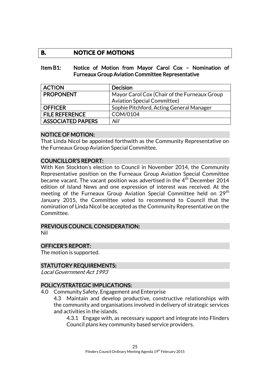## **B. NOTICE OF MOTIONS**

#### Item B1: Notice of Motion from Mayor Carol Cox – Nomination of Furneaux Group Aviation Committee Representative

| <b>ACTION</b>            | <b>Decision</b>                              |
|--------------------------|----------------------------------------------|
| <b>PROPONENT</b>         | Mayor Carol Cox (Chair of the Furneaux Group |
|                          | <b>Aviation Special Committee)</b>           |
| <b>OFFICER</b>           | Sophie Pitchford, Acting General Manager     |
| <b>FILE REFERENCE</b>    | COM/0104                                     |
| <b>ASSOCIATED PAPERS</b> | Nil                                          |

#### NOTICE OF MOTION:

That Linda Nicol be appointed forthwith as the Community Representative on the Furneaux Group Aviation Special Committee.

## COUNCILLOR'S REPORT:

With Ken Stockton's election to Council in November 2014, the Community Representative position on the Furneaux Group Aviation Special Committee became vacant. The vacant position was advertised in the  $4<sup>th</sup>$  December 2014 edition of Island News and one expression of interest was received. At the meeting of the Furneaux Group Aviation Special Committee held on 29<sup>th</sup> January 2015, the Committee voted to recommend to Council that the nomination of Linda Nicol be accepted as the Community Representative on the Committee.

#### PREVIOUS COUNCIL CONSIDERATION:

Nil

## OFFICER'S REPORT:

The motion is supported.

## STATUTORY REQUIREMENTS:

Local Government Act 1993

## POLICY/STRATEGIC IMPLICATIONS:

4.0 Community Safety, Engagement and Enterprise

4.3 Maintain and develop productive, constructive relationships with the community and organisations involved in delivery of strategic services and activities in the islands.

4.3.1 Engage with, as necessary support and integrate into Flinders Council plans key community based service providers.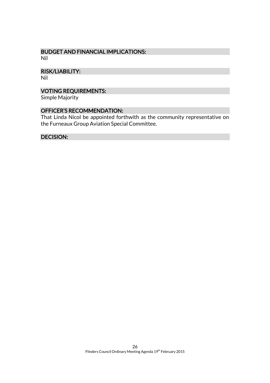#### BUDGET AND FINANCIAL IMPLICATIONS: Nil

RISK/LIABILITY:

Nil

## VOTING REQUIREMENTS:

Simple Majority

## OFFICER'S RECOMMENDATION:

That Linda Nicol be appointed forthwith as the community representative on the Furneaux Group Aviation Special Committee.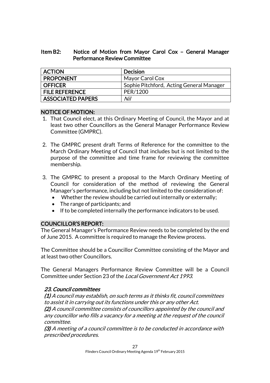### Item B2: Notice of Motion from Mayor Carol Cox – General Manager Performance Review Committee

| <b>ACTION</b>            | Decision                                 |
|--------------------------|------------------------------------------|
| <b>PROPONENT</b>         | Mayor Carol Cox                          |
| OFFICER                  | Sophie Pitchford, Acting General Manager |
| <b>FILE REFERENCE</b>    | PER/1200                                 |
| <b>ASSOCIATED PAPERS</b> | Nil                                      |

## NOTICE OF MOTION:

- 1. That Council elect, at this Ordinary Meeting of Council, the Mayor and at least two other Councillors as the General Manager Performance Review Committee (GMPRC).
- 2. The GMPRC present draft Terms of Reference for the committee to the March Ordinary Meeting of Council that includes but is not limited to the purpose of the committee and time frame for reviewing the committee membership.
- 3. The GMPRC to present a proposal to the March Ordinary Meeting of Council for consideration of the method of reviewing the General Manager's performance, including but not limited to the consideration of:
	- Whether the review should be carried out internally or externally;
	- The range of participants; and
	- If to be completed internally the performance indicators to be used.

## COUNCILLOR'S REPORT:

The General Manager's Performance Review needs to be completed by the end of June 2015. A committee is required to manage the Review process.

The Committee should be a Councillor Committee consisting of the Mayor and at least two other Councillors.

The General Managers Performance Review Committee will be a Council Committee under Section 23 of the Local Government Act 1993.

## 23. Council committees

(1) A council may establish, on such terms as it thinks fit, council committees to assist it in carrying out its functions under this or any other Act. (2) A council committee consists of councillors appointed by the council and any councillor who fills a vacancy for a meeting at the request of the council committee.

(3) A meeting of a council committee is to be conducted in accordance with prescribed procedures.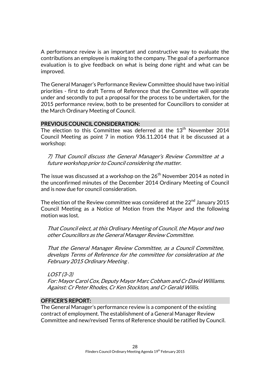A performance review is an important and constructive way to evaluate the contributions an employee is making to the company. The goal of a performance evaluation is to give feedback on what is being done right and what can be improved.

The General Manager's Performance Review Committee should have two initial priorities - first to draft Terms of Reference that the Committee will operate under and secondly to put a proposal for the process to be undertaken, for the 2015 performance review, both to be presented for Councillors to consider at the March Ordinary Meeting of Council.

#### PREVIOUS COUNCIL CONSIDERATION:

The election to this Committee was deferred at the 13<sup>th</sup> November 2014 Council Meeting as point 7 in motion 936.11.2014 that it be discussed at a workshop:

7) That Council discuss the General Manager's Review Committee at a future workshop prior to Council considering the matter.

The issue was discussed at a workshop on the  $26<sup>th</sup>$  November 2014 as noted in the unconfirmed minutes of the December 2014 Ordinary Meeting of Council and is now due for council consideration.

The election of the Review committee was considered at the  $22<sup>nd</sup>$  January 2015 Council Meeting as a Notice of Motion from the Mayor and the following motion was lost.

That Council elect, at this Ordinary Meeting of Council, the Mayor and two other Councillors as the General Manager Review Committee.

That the General Manager Review Committee, as a Council Committee, develops Terms of Reference for the committee for consideration at the February 2015 Ordinary Meeting .

LOST (3-3) For: Mayor Carol Cox, Deputy Mayor Marc Cobham and Cr David Williams. Against: Cr Peter Rhodes, Cr Ken Stockton, and Cr Gerald Willis.

## OFFICER'S REPORT:

The General Manager's performance review is a component of the existing contract of employment. The establishment of a General Manager Review Committee and new/revised Terms of Reference should be ratified by Council.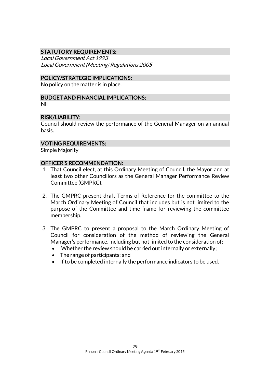## STATUTORY REQUIREMENTS:

Local Government Act 1993 Local Government (Meeting) Regulations 2005

#### POLICY/STRATEGIC IMPLICATIONS:

No policy on the matter is in place.

#### BUDGET AND FINANCIAL IMPLICATIONS:

Nil

#### RISK/LIABILITY:

Council should review the performance of the General Manager on an annual basis.

#### VOTING REQUIREMENTS:

Simple Majority

#### OFFICER'S RECOMMENDATION:

- 1. That Council elect, at this Ordinary Meeting of Council, the Mayor and at least two other Councillors as the General Manager Performance Review Committee (GMPRC).
- 2. The GMPRC present draft Terms of Reference for the committee to the March Ordinary Meeting of Council that includes but is not limited to the purpose of the Committee and time frame for reviewing the committee membership.
- 3. The GMPRC to present a proposal to the March Ordinary Meeting of Council for consideration of the method of reviewing the General Manager's performance, including but not limited to the consideration of:
	- Whether the review should be carried out internally or externally;
	- The range of participants; and
	- If to be completed internally the performance indicators to be used.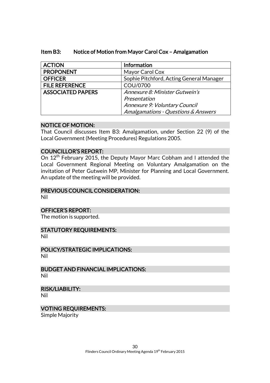| <b>ACTION</b>            | Information                              |
|--------------------------|------------------------------------------|
| <b>PROPONENT</b>         | Mayor Carol Cox                          |
| <b>OFFICER</b>           | Sophie Pitchford, Acting General Manager |
| <b>FILE REFERENCE</b>    | COU/0700                                 |
| <b>ASSOCIATED PAPERS</b> | Annexure 8: Minister Gutwein's           |
|                          | Presentation                             |
|                          | Annexure 9: Voluntary Council            |
|                          | Amalgamations - Questions & Answers      |

## Item B3: Notice of Motion from Mayor Carol Cox – Amalgamation

#### NOTICE OF MOTION:

That Council discusses Item B3: Amalgamation, under Section 22 (9) of the Local Government (Meeting Procedures) Regulations 2005.

#### COUNCILLOR'S REPORT:

On 12<sup>th</sup> February 2015, the Deputy Mayor Marc Cobham and I attended the Local Government Regional Meeting on Voluntary Amalgamation on the invitation of Peter Gutwein MP, Minister for Planning and Local Government. An update of the meeting will be provided.

#### PREVIOUS COUNCIL CONSIDERATION:

Nil

#### OFFICER'S REPORT:

The motion is supported.

## STATUTORY REQUIREMENTS:

Nil

#### POLICY/STRATEGIC IMPLICATIONS: Nil

BUDGET AND FINANCIAL IMPLICATIONS: Nil

#### RISK/LIABILITY:

Nil

## VOTING REQUIREMENTS:

Simple Majority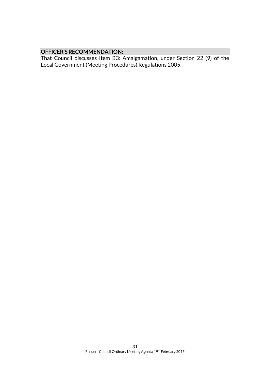## OFFICER'S RECOMMENDATION:

That Council discusses Item B3: Amalgamation, under Section 22 (9) of the Local Government (Meeting Procedures) Regulations 2005.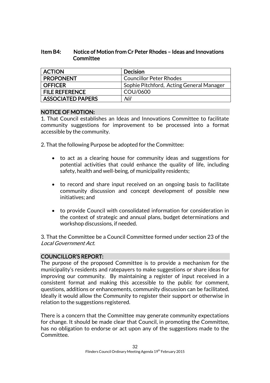### Item B4: Notice of Motion from Cr Peter Rhodes – Ideas and Innovations **Committee**

| <b>ACTION</b>            | <b>Decision</b>                          |
|--------------------------|------------------------------------------|
| <b>PROPONENT</b>         | <b>Councillor Peter Rhodes</b>           |
| <b>OFFICER</b>           | Sophie Pitchford, Acting General Manager |
| <b>FILE REFERENCE</b>    | COU/0600                                 |
| <b>ASSOCIATED PAPERS</b> | Nil                                      |

#### NOTICE OF MOTION:

1. That Council establishes an Ideas and Innovations Committee to facilitate community suggestions for improvement to be processed into a format accessible by the community.

2. That the following Purpose be adopted for the Committee:

- to act as a clearing house for community ideas and suggestions for potential activities that could enhance the quality of life, including safety, health and well-being, of municipality residents;
- to record and share input received on an ongoing basis to facilitate community discussion and concept development of possible new initiatives; and
- to provide Council with consolidated information for consideration in the context of strategic and annual plans, budget determinations and workshop discussions, if needed.

3. That the Committee be a Council Committee formed under section 23 of the Local Government Act.

## COUNCILLOR'S REPORT:

The purpose of the proposed Committee is to provide a mechanism for the municipality's residents and ratepayers to make suggestions or share ideas for improving our community. By maintaining a register of input received in a consistent format and making this accessible to the public for comment, questions, additions or enhancements, community discussion can be facilitated. Ideally it would allow the Community to register their support or otherwise in relation to the suggestions registered.

There is a concern that the Committee may generate community expectations for change. It should be made clear that Council, in promoting the Committee, has no obligation to endorse or act upon any of the suggestions made to the Committee.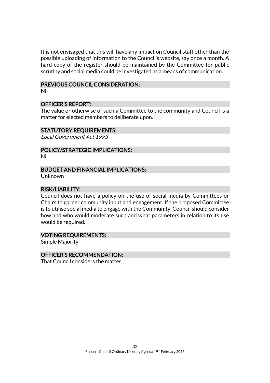It is not envisaged that this will have any impact on Council staff other than the possible uploading of information to the Council's website, say once a month. A hard copy of the register should be maintained by the Committee for public scrutiny and social media could be investigated as a means of communication.

#### PREVIOUS COUNCIL CONSIDERATION:

Nil

#### OFFICER'S REPORT:

The value or otherwise of such a Committee to the community and Council is a matter for elected members to deliberate upon.

#### STATUTORY REQUIREMENTS:

Local Government Act 1993

## POLICY/STRATEGIC IMPLICATIONS:

Nil

#### BUDGET AND FINANCIAL IMPLICATIONS:

Unknown

#### RISK/LIABILITY:

Council does not have a policy on the use of social media by Committees or Chairs to garner community input and engagement. If the proposed Committee is to utilise social media to engage with the Community, Council should consider how and who would moderate such and what parameters in relation to its use would be required.

#### VOTING REQUIREMENTS:

Simple Majority

#### OFFICER'S RECOMMENDATION:

That Council considers the matter.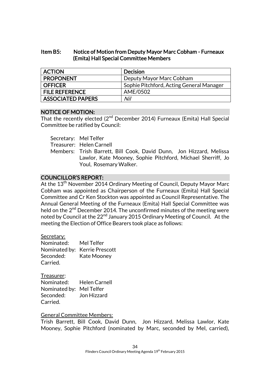## Item B5: Notice of Motion from Deputy Mayor Marc Cobham - Furneaux (Emita) Hall Special Committee Members

| <b>ACTION</b>            | <b>Decision</b>                          |
|--------------------------|------------------------------------------|
| <b>PROPONENT</b>         | Deputy Mayor Marc Cobham                 |
| <b>OFFICER</b>           | Sophie Pitchford, Acting General Manager |
| <b>FILE REFERENCE</b>    | AME/0502                                 |
| <b>ASSOCIATED PAPERS</b> | Nil                                      |

#### NOTICE OF MOTION:

That the recently elected (2<sup>nd</sup> December 2014) Furneaux (Emita) Hall Special Committee be ratified by Council:

Secretary: Mel Telfer

Treasurer: Helen Carnell

Members: Trish Barrett, Bill Cook, David Dunn, Jon Hizzard, Melissa Lawlor, Kate Mooney, Sophie Pitchford, Michael Sherriff, Jo Youl, Rosemary Walker.

## COUNCILLOR'S REPORT:

At the 13<sup>th</sup> November 2014 Ordinary Meeting of Council, Deputy Mayor Marc Cobham was appointed as Chairperson of the Furneaux (Emita) Hall Special Committee and Cr Ken Stockton was appointed as Council Representative. The Annual General Meeting of the Furneaux (Emita) Hall Special Committee was held on the  $2<sup>nd</sup>$  December 2014. The unconfirmed minutes of the meeting were noted by Council at the 22<sup>nd</sup> January 2015 Ordinary Meeting of Council. At the meeting the Election of Office Bearers took place as follows:

#### Secretary:

| Nominated: | Mel Telfer                    |
|------------|-------------------------------|
|            | Nominated by: Kerrie Prescott |
| Seconded:  | Kate Mooney                   |
| Carried.   |                               |

Treasurer: Nominated: Helen Carnell Nominated by: Mel Telfer Seconded: Jon Hizzard Carried.

## General Committee Members:

Trish Barrett, Bill Cook, David Dunn, Jon Hizzard, Melissa Lawlor, Kate Mooney, Sophie Pitchford (nominated by Marc, seconded by Mel, carried),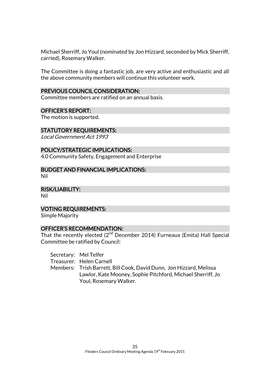Michael Sherriff, Jo Youl (nominated by Jon Hizzard, seconded by Mick Sherriff, carried), Rosemary Walker.

The Committee is doing a fantastic job, are very active and enthusiastic and all the above community members will continue this volunteer work.

#### PREVIOUS COUNCIL CONSIDERATION:

Committee members are ratified on an annual basis.

#### OFFICER'S REPORT:

The motion is supported.

#### STATUTORY REQUIREMENTS:

Local Government Act 1993

#### POLICY/STRATEGIC IMPLICATIONS:

4.0 Community Safety, Engagement and Enterprise

BUDGET AND FINANCIAL IMPLICATIONS: Nil

RISK/LIABILITY:

Nil

## VOTING REQUIREMENTS:

Simple Majority

#### OFFICER'S RECOMMENDATION:

That the recently elected (2<sup>nd</sup> December 2014) Furneaux (Emita) Hall Special Committee be ratified by Council:

Secretary: Mel Telfer

Treasurer: Helen Carnell

Members: Trish Barrett, Bill Cook, David Dunn, Jon Hizzard, Melissa Lawlor, Kate Mooney, Sophie Pitchford, Michael Sherriff, Jo Youl, Rosemary Walker.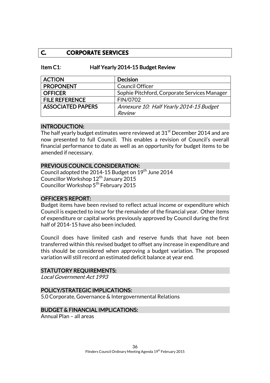## **C. CORPORATE SERVICES**

| Item $C1$ : | Half Yearly 2014-15 Budget Review |
|-------------|-----------------------------------|
|-------------|-----------------------------------|

| <b>ACTION</b>            | <b>Decision</b>                              |
|--------------------------|----------------------------------------------|
| <b>PROPONENT</b>         | <b>Council Officer</b>                       |
| <b>OFFICER</b>           | Sophie Pitchford, Corporate Services Manager |
| <b>FILE REFERENCE</b>    | FIN/0702                                     |
| <b>ASSOCIATED PAPERS</b> | Annexure 10: Half Yearly 2014-15 Budget      |
|                          | Review                                       |

#### INTRODUCTION:

The half yearly budget estimates were reviewed at 31<sup>st</sup> December 2014 and are now presented to full Council. This enables a revision of Council's overall financial performance to date as well as an opportunity for budget items to be amended if necessary.

#### PREVIOUS COUNCIL CONSIDERATION:

Council adopted the 2014-15 Budget on 19<sup>th</sup> June 2014 Councillor Workshop 12<sup>th</sup> January 2015 Councillor Workshop 5<sup>th</sup> February 2015

#### OFFICER'S REPORT:

Budget items have been revised to reflect actual income or expenditure which Council is expected to incur for the remainder of the financial year. Other items of expenditure or capital works previously approved by Council during the first half of 2014-15 have also been included.

Council does have limited cash and reserve funds that have not been transferred within this revised budget to offset any increase in expenditure and this should be considered when approving a budget variation. The proposed variation will still record an estimated deficit balance at year end.

#### STATUTORY REQUIREMENTS:

Local Government Act 1993

#### POLICY/STRATEGIC IMPLICATIONS:

5.0 Corporate, Governance & Intergovernmental Relations

#### BUDGET & FINANCIAL IMPLICATIONS:

Annual Plan – all areas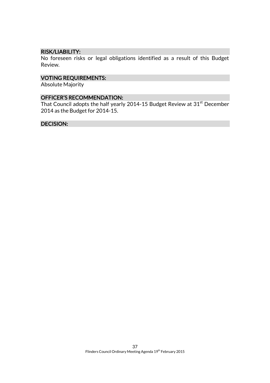#### RISK/LIABILITY:

No foreseen risks or legal obligations identified as a result of this Budget Review.

## VOTING REQUIREMENTS:

Absolute Majority

#### OFFICER'S RECOMMENDATION:

That Council adopts the half yearly 2014-15 Budget Review at 31<sup>st</sup> December 2014 as the Budget for 2014-15.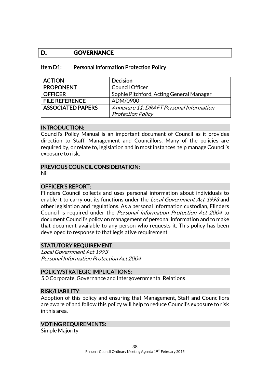## **D. GOVERNANCE**

| Item D1: |  | <b>Personal Information Protection Policy</b> |  |  |
|----------|--|-----------------------------------------------|--|--|
|----------|--|-----------------------------------------------|--|--|

| <b>ACTION</b>            | <b>Decision</b>                          |
|--------------------------|------------------------------------------|
| <b>PROPONENT</b>         | <b>Council Officer</b>                   |
| <b>OFFICER</b>           | Sophie Pitchford, Acting General Manager |
| <b>FILE REFERENCE</b>    | ADM/0900                                 |
| <b>ASSOCIATED PAPERS</b> | Annexure 11: DRAFT Personal Information  |
|                          | <b>Protection Policy</b>                 |

#### INTRODUCTION:

Council's Policy Manual is an important document of Council as it provides direction to Staff, Management and Councillors. Many of the policies are required by, or relate to, legislation and in most instances help manage Council's exposure to risk.

#### PREVIOUS COUNCIL CONSIDERATION:

Nil

## OFFICER'S REPORT:

Flinders Council collects and uses personal information about individuals to enable it to carry out its functions under the *Local Government Act 1993* and other legislation and regulations. As a personal information custodian, Flinders Council is required under the Personal Information Protection Act 2004 to document Council's policy on management of personal information and to make that document available to any person who requests it. This policy has been developed to response to that legislative requirement.

#### STATUTORY REQUIREMENT:

Local Government Act 1993 Personal Information Protection Act 2004

#### POLICY/STRATEGIC IMPLICATIONS:

5.0 Corporate, Governance and Intergovernmental Relations

#### RISK/LIABILITY:

Adoption of this policy and ensuring that Management, Staff and Councillors are aware of and follow this policy will help to reduce Council's exposure to risk in this area.

#### VOTING REQUIREMENTS:

Simple Majority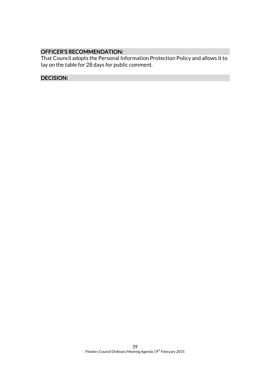## OFFICER'S RECOMMENDATION:

That Council adopts the Personal Information Protection Policy and allows it to lay on the table for 28 days for public comment.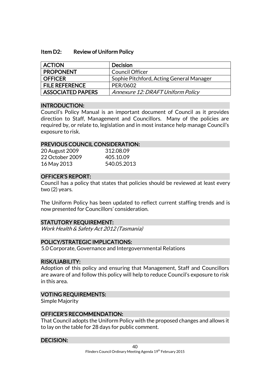#### Item D2: Review of Uniform Policy

| <b>ACTION</b>         | <b>Decision</b>                          |
|-----------------------|------------------------------------------|
| <b>PROPONENT</b>      | Council Officer                          |
| <b>OFFICER</b>        | Sophie Pitchford, Acting General Manager |
| <b>FILE REFERENCE</b> | PER/0602                                 |
| ASSOCIATED PAPERS     | Annexure 12: DRAFT Uniform Policy        |

#### INTRODUCTION:

Council's Policy Manual is an important document of Council as it provides direction to Staff, Management and Councillors. Many of the policies are required by, or relate to, legislation and in most instance help manage Council's exposure to risk.

#### PREVIOUS COUNCIL CONSIDERATION:

| 20 August 2009  | 312.08.09   |
|-----------------|-------------|
| 22 October 2009 | 405.10.09   |
| 16 May 2013     | 540.05.2013 |

#### OFFICER'S REPORT:

Council has a policy that states that policies should be reviewed at least every two (2) years.

The Uniform Policy has been updated to reflect current staffing trends and is now presented for Councillors' consideration.

#### STATUTORY REQUIREMENT:

Work Health & Safety Act 2012 (Tasmania)

#### POLICY/STRATEGIC IMPLICATIONS:

5.0 Corporate, Governance and Intergovernmental Relations

#### RISK/LIABILITY:

Adoption of this policy and ensuring that Management, Staff and Councillors are aware of and follow this policy will help to reduce Council's exposure to risk in this area.

#### VOTING REQUIREMENTS:

Simple Majority

#### OFFICER'S RECOMMENDATION:

That Council adopts the Uniform Policy with the proposed changes and allows it to lay on the table for 28 days for public comment.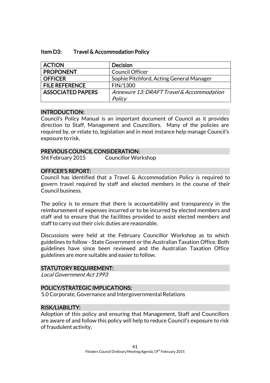#### Item D3: Travel & Accommodation Policy

| <b>ACTION</b>            | <b>Decision</b>                           |
|--------------------------|-------------------------------------------|
| <b>PROPONENT</b>         | <b>Council Officer</b>                    |
| <b>OFFICER</b>           | Sophie Pitchford, Acting General Manager  |
| <b>FILE REFERENCE</b>    | FIN/1300                                  |
| <b>ASSOCIATED PAPERS</b> | Annexure 13: DRAFT Travel & Accommodation |
|                          | Policy                                    |

#### INTRODUCTION:

Council's Policy Manual is an important document of Council as it provides direction to Staff, Management and Councillors. Many of the policies are required by, or relate to, legislation and in most instance help manage Council's exposure to risk.

#### PREVIOUS COUNCIL CONSIDERATION:

5ht February 2015 Councillor Workshop

#### OFFICER'S REPORT:

Council has identified that a Travel & Accommodation Policy is required to govern travel required by staff and elected members in the course of their Council business.

The policy is to ensure that there is accountability and transparency in the reimbursement of expenses incurred or to be incurred by elected members and staff and to ensure that the facilities provided to assist elected members and staff to carry out their civic duties are reasonable.

Discussions were held at the February Councillor Workshop as to which guidelines to follow - State Government or the Australian Taxation Office. Both guidelines have since been reviewed and the Australian Taxation Office guidelines are more suitable and easier to follow.

#### STATUTORY REQUIREMENT:

Local Government Act 1993

#### POLICY/STRATEGIC IMPLICATIONS:

5.0 Corporate, Governance and Intergovernmental Relations

#### RISK/LIABILITY:

Adoption of this policy and ensuring that Management, Staff and Councillors are aware of and follow this policy will help to reduce Council's exposure to risk of fraudulent activity.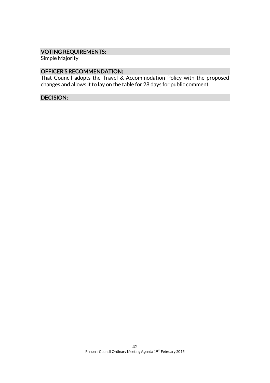## VOTING REQUIREMENTS:

Simple Majority

## OFFICER'S RECOMMENDATION:

That Council adopts the Travel & Accommodation Policy with the proposed changes and allows it to lay on the table for 28 days for public comment.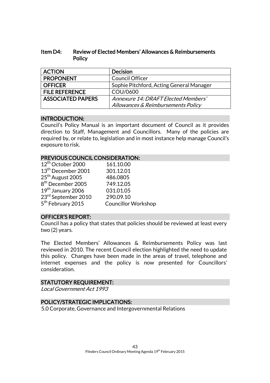### Item D4: Review of Elected Members' Allowances & Reimbursements **Policy**

| <b>ACTION</b>            | <b>Decision</b>                          |
|--------------------------|------------------------------------------|
| <b>PROPONENT</b>         | <b>Council Officer</b>                   |
| <b>OFFICER</b>           | Sophie Pitchford, Acting General Manager |
| <b>FILE REFERENCE</b>    | COU/0600                                 |
| <b>ASSOCIATED PAPERS</b> | Annexure 14: DRAFT Elected Members'      |
|                          | Allowances & Reimbursements Policy       |

## INTRODUCTION:

Council's Policy Manual is an important document of Council as it provides direction to Staff, Management and Councillors. Many of the policies are required by, or relate to, legislation and in most instance help manage Council's exposure to risk.

#### PREVIOUS COUNCIL CONSIDERATION:

| 12 <sup>th</sup> October 2000  | 161.10.00                  |
|--------------------------------|----------------------------|
| 13 <sup>th</sup> December 2001 | 301.12.01                  |
| 25 <sup>th</sup> August 2005   | 486.0805                   |
| 8 <sup>th</sup> December 2005  | 749.12.05                  |
| 19th January 2006              | 031.01.05                  |
| 23rd September 2010            | 290.09.10                  |
| 5 <sup>th</sup> February 2015  | <b>Councillor Workshop</b> |
|                                |                            |

### OFFICER'S REPORT:

Council has a policy that states that policies should be reviewed at least every two (2) years.

The Elected Members' Allowances & Reimbursements Policy was last reviewed in 2010. The recent Council election highlighted the need to update this policy. Changes have been made in the areas of travel, telephone and internet expenses and the policy is now presented for Councillors' consideration.

#### STATUTORY REQUIREMENT:

Local Government Act 1993

## POLICY/STRATEGIC IMPLICATIONS:

5.0 Corporate, Governance and Intergovernmental Relations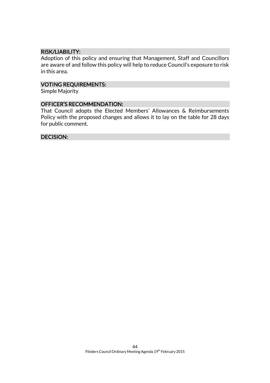#### RISK/LIABILITY:

Adoption of this policy and ensuring that Management, Staff and Councillors are aware of and follow this policy will help to reduce Council's exposure to risk in this area.

#### VOTING REQUIREMENTS:

Simple Majority

#### OFFICER'S RECOMMENDATION:

That Council adopts the Elected Members' Allowances & Reimbursements Policy with the proposed changes and allows it to lay on the table for 28 days for public comment.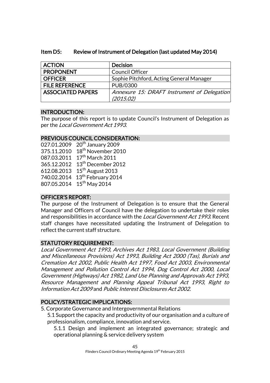## Item D5: Review of Instrument of Delegation (last updated May 2014)

| <b>ACTION</b>            | <b>Decision</b>                             |
|--------------------------|---------------------------------------------|
| <b>PROPONENT</b>         | <b>Council Officer</b>                      |
| <b>OFFICER</b>           | Sophie Pitchford, Acting General Manager    |
| <b>FILE REFERENCE</b>    | PUB/0300                                    |
| <b>ASSOCIATED PAPERS</b> | Annexure 15: DRAFT Instrument of Delegation |
|                          | (2015.02)                                   |

## INTRODUCTION:

The purpose of this report is to update Council's Instrument of Delegation as per the Local Government Act 1993.

## PREVIOUS COUNCIL CONSIDERATION:

| 027.01.2009 | 20 <sup>th</sup> January 2009  |
|-------------|--------------------------------|
| 375.11.2010 | 18 <sup>th</sup> November 2010 |
| 087.03.2011 | 17th March 2011                |
| 365.12.2012 | 13 <sup>th</sup> December 2012 |
| 612.08.2013 | 15 <sup>th</sup> August 2013   |
| 740.02.2014 | 13 <sup>th</sup> February 2014 |
| 807.05.2014 | $15th$ May 2014                |
|             |                                |

## OFFICER'S REPORT:

The purpose of the Instrument of Delegation is to ensure that the General Manager and Officers of Council have the delegation to undertake their roles and responsibilities in accordance with the *Local Government Act 1993*. Recent staff changes have necessitated updating the Instrument of Delegation to reflect the current staff structure.

## STATUTORY REQUIREMENT:

Local Government Act 1993, Archives Act 1983, Local Government (Building and Miscellaneous Provisions) Act 1993, Building Act 2000 (Tas), Burials and Cremation Act 2002, Public Health Act 1997, Food Act 2003, Environmental Management and Pollution Control Act 1994, Dog Control Act 2000, Local Government (Highways) Act 1982, Land Use Planning and Approvals Act 1993, Resource Management and Planning Appeal Tribunal Act 1993, Right to Information Act 2009 and Public Interest Disclosures Act 2002.

## POLICY/STRATEGIC IMPLICATIONS:

5. Corporate Governance and Intergovernmental Relations

5.1 Support the capacity and productivity of our organisation and a culture of professionalism, compliance, innovation and service.

5.1.1 Design and implement an integrated governance; strategic and operational planning & service delivery system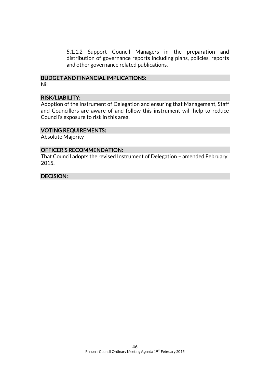5.1.1.2 Support Council Managers in the preparation and distribution of governance reports including plans, policies, reports and other governance related publications.

#### BUDGET AND FINANCIAL IMPLICATIONS: Nil

#### RISK/LIABILITY:

Adoption of the Instrument of Delegation and ensuring that Management, Staff and Councillors are aware of and follow this instrument will help to reduce Council's exposure to risk in this area.

#### VOTING REQUIREMENTS:

Absolute Majority

#### OFFICER'S RECOMMENDATION:

That Council adopts the revised Instrument of Delegation – amended February 2015.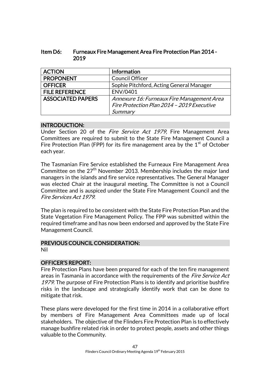| ltem D6: | <b>Furneaux Fire Management Area Fire Protection Plan 2014 -</b> |
|----------|------------------------------------------------------------------|
|          | 2019                                                             |

| <b>ACTION</b>            | <b>Information</b>                         |
|--------------------------|--------------------------------------------|
| <b>PROPONENT</b>         | <b>Council Officer</b>                     |
| <b>OFFICER</b>           | Sophie Pitchford, Acting General Manager   |
| <b>FILE REFERENCE</b>    | ENV/0401                                   |
| <b>ASSOCIATED PAPERS</b> | Annexure 16: Furneaux Fire Management Area |
|                          | Fire Protection Plan 2014 - 2019 Executive |
|                          | Summary                                    |

#### INTRODUCTION:

Under Section 20 of the *Fire Service Act 1979*, Fire Management Area Committees are required to submit to the State Fire Management Council a Fire Protection Plan (FPP) for its fire management area by the  $1<sup>st</sup>$  of October each year.

The Tasmanian Fire Service established the Furneaux Fire Management Area Committee on the  $27<sup>th</sup>$  November 2013. Membership includes the major land managers in the islands and fire service representatives. The General Manager was elected Chair at the inaugural meeting. The Committee is not a Council Committee and is auspiced under the State Fire Management Council and the Fire Services Act 1979.

The plan is required to be consistent with the State Fire Protection Plan and the State Vegetation Fire Management Policy. The FPP was submitted within the required timeframe and has now been endorsed and approved by the State Fire Management Council.

## PREVIOUS COUNCIL CONSIDERATION:

Nil

## OFFICER'S REPORT:

Fire Protection Plans have been prepared for each of the ten fire management areas in Tasmania in accordance with the requirements of the *Fire Service Act* 1979. The purpose of Fire Protection Plans is to identify and prioritise bushfire risks in the landscape and strategically identify work that can be done to mitigate that risk.

These plans were developed for the first time in 2014 in a collaborative effort by members of Fire Management Area Committees made up of local stakeholders. The objective of the Flinders Fire Protection Plan is to effectively manage bushfire related risk in order to protect people, assets and other things valuable to the Community.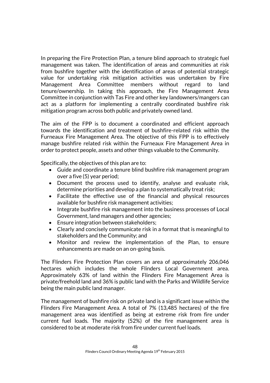In preparing the Fire Protection Plan, a tenure blind approach to strategic fuel management was taken. The identification of areas and communities at risk from bushfire together with the identification of areas of potential strategic value for undertaking risk mitigation activities was undertaken by Fire Management Area Committee members without regard to land tenure/ownership. In taking this approach, the Fire Management Area Committee in conjunction with Tas Fire and other key landowners/mangers can act as a platform for implementing a centrally coordinated bushfire risk mitigation program across both public and privately owned land.

The aim of the FPP is to document a coordinated and efficient approach towards the identification and treatment of bushfire-related risk within the Furneaux Fire Management Area. The objective of this FPP is to effectively manage bushfire related risk within the Furneaux Fire Management Area in order to protect people, assets and other things valuable to the Community.

Specifically, the objectives of this plan are to:

- Guide and coordinate a tenure blind bushfire risk management program over a five (5) year period;
- Document the process used to identify, analyse and evaluate risk, determine priorities and develop a plan to systematically treat risk;
- Facilitate the effective use of the financial and physical resources available for bushfire risk management activities;
- Integrate bushfire risk management into the business processes of Local Government, land managers and other agencies;
- Ensure integration between stakeholders;
- Clearly and concisely communicate risk in a format that is meaningful to stakeholders and the Community; and
- Monitor and review the implementation of the Plan, to ensure enhancements are made on an on-going basis.

The Flinders Fire Protection Plan covers an area of approximately 206,046 hectares which includes the whole Flinders Local Government area. Approximately 63% of land within the Flinders Fire Management Area is private/freehold land and 36% is public land with the Parks and Wildlife Service being the main public land manager.

The management of bushfire risk on private land is a significant issue within the Flinders Fire Management Area. A total of 7% (13,485 hectares) of the fire management area was identified as being at extreme risk from fire under current fuel loads. The majority (52%) of the fire management area is considered to be at moderate risk from fire under current fuel loads.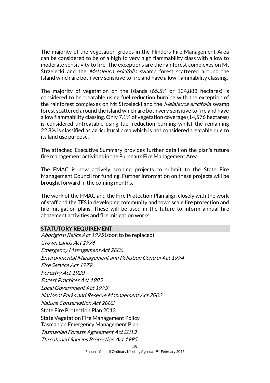The majority of the vegetation groups in the Flinders Fire Management Area can be considered to be of a high to very high flammability class with a low to moderate sensitivity to fire. The exceptions are the rainforest complexes on Mt Strzelecki and the *Melaleuca ericifolia* swamp forest scattered around the Island which are both very sensitive to fire and have a low flammability classing.

The majority of vegetation on the islands (65.5% or 134,883 hectares) is considered to be treatable using fuel reduction burning with the exception of the rainforest complexes on Mt Strzelecki and the *Melaleuca ericifolia* swamp forest scattered around the island which are both very sensitive to fire and have a low flammability classing. Only 7.1% of vegetation coverage (14,576 hectares) is considered untreatable using fuel reduction burning whilst the remaining 22.8% is classified as agricultural area which is not considered treatable due to its land use purpose.

The attached Executive Summary provides further detail on the plan's future fire management activities in the Furneaux Fire Management Area.

The FMAC is now actively scoping projects to submit to the State Fire Management Council for funding. Further information on these projects will be brought forward in the coming months.

The work of the FMAC and the Fire Protection Plan align closely with the work of staff and the TFS in developing community and town scale fire protection and fire mitigation plans. These will be used in the future to inform annual fire abatement activities and fire mitigation works.

#### STATUTORY REQUIREMENT:

49 Aboriginal Relics Act 1975 (soon to be replaced) Crown Lands Act 1976 Emergency Management Act 2006 Environmental Management and Pollution Control Act 1994 Fire Service Act 1979 Forestry Act 1920 Forest Practices Act 1985 Local Government Act 1993 National Parks and Reserve Management Act 2002 Nature Conservation Act 2002 State Fire Protection Plan 2013 State Vegetation Fire Management Policy Tasmanian Emergency Management Plan Tasmanian Forests Agreement Act 2013 Threatened Species Protection Act 1995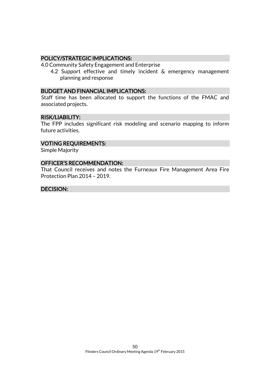#### POLICY/STRATEGIC IMPLICATIONS:

4.0 Community Safety Engagement and Enterprise

4.2 Support effective and timely incident & emergency management planning and response

#### BUDGET AND FINANCIAL IMPLICATIONS:

Staff time has been allocated to support the functions of the FMAC and associated projects.

#### RISK/LIABILITY:

The FPP includes significant risk modeling and scenario mapping to inform future activities.

#### VOTING REQUIREMENTS:

Simple Majority

#### OFFICER'S RECOMMENDATION:

That Council receives and notes the Furneaux Fire Management Area Fire Protection Plan 2014 – 2019.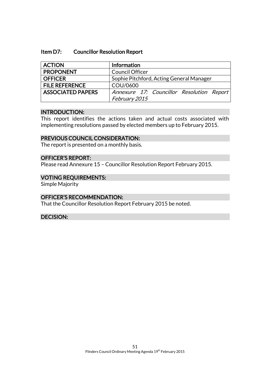#### Item D7: Councillor Resolution Report

| <b>ACTION</b>            | Information                               |
|--------------------------|-------------------------------------------|
| <b>PROPONENT</b>         | <b>Council Officer</b>                    |
| <b>OFFICER</b>           | Sophie Pitchford, Acting General Manager  |
| <b>FILE REFERENCE</b>    | COU/0600                                  |
| <b>ASSOCIATED PAPERS</b> | Annexure 17: Councillor Resolution Report |
|                          | February 2015                             |

#### INTRODUCTION:

This report identifies the actions taken and actual costs associated with implementing resolutions passed by elected members up to February 2015.

#### PREVIOUS COUNCIL CONSIDERATION:

The report is presented on a monthly basis.

### OFFICER'S REPORT:

Please read Annexure 15 – Councillor Resolution Report February 2015.

#### VOTING REQUIREMENTS:

Simple Majority

#### OFFICER'S RECOMMENDATION:

That the Councillor Resolution Report February 2015 be noted.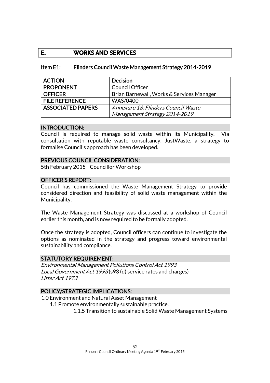## **E. WORKS AND SERVICES**

#### Item E1: Flinders Council Waste Management Strategy 2014-2019

| <b>ACTION</b>            | <b>Decision</b>                           |
|--------------------------|-------------------------------------------|
| <b>PROPONENT</b>         | <b>Council Officer</b>                    |
| <b>OFFICER</b>           | Brian Barnewall, Works & Services Manager |
| <b>FILE REFERENCE</b>    | <b>WAS/0400</b>                           |
| <b>ASSOCIATED PAPERS</b> | Annexure 18: Flinders Council Waste       |
|                          | Management Strategy 2014-2019             |

#### INTRODUCTION:

Council is required to manage solid waste within its Municipality. Via consultation with reputable waste consultancy, JustWaste, a strategy to formalise Council's approach has been developed.

#### PREVIOUS COUNCIL CONSIDERATION:

5th February 2015 Councillor Workshop

#### OFFICER'S REPORT:

Council has commissioned the Waste Management Strategy to provide considered direction and feasibility of solid waste management within the Municipality.

The Waste Management Strategy was discussed at a workshop of Council earlier this month, and is now required to be formally adopted.

Once the strategy is adopted, Council officers can continue to investigate the options as nominated in the strategy and progress toward environmental sustainability and compliance.

#### STATUTORY REQUIREMENT:

Environmental Management Pollutions Control Act 1993 Local Government Act 1993 (s93 (d) service rates and charges) Litter Act 1973

#### POLICY/STRATEGIC IMPLICATIONS:

1.0 Environment and Natural Asset Management

1.1 Promote environmentally sustainable practice.

1.1.5 Transition to sustainable Solid Waste Management Systems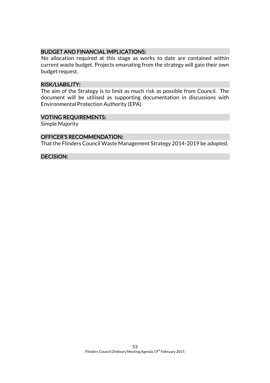### BUDGET AND FINANCIAL IMPLICATIONS:

No allocation required at this stage as works to date are contained within current waste budget. Projects emanating from the strategy will gain their own budget request.

#### RISK/LIABILITY:

The aim of the Strategy is to limit as much risk as possible from Council. The document will be utilised as supporting documentation in discussions with Environmental Protection Authority (EPA).

#### VOTING REQUIREMENTS:

Simple Majority

#### OFFICER'S RECOMMENDATION:

That the Flinders Council Waste Management Strategy 2014-2019 be adopted.